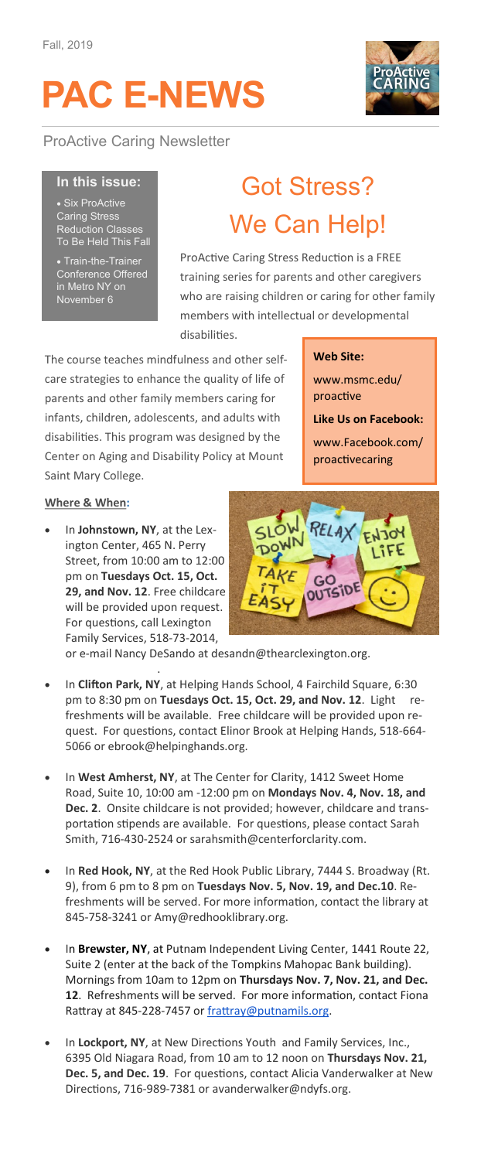# **PAC E-NEWS**



ProActive Caring Newsletter

#### **In this issue:**

• Six ProActive Caring Stress Reduction Classes To Be Held This Fall

Train-the-Trainer Conference Offered in Metro NY on November 6

## Got Stress? We Can Help!

ProActive Caring Stress Reduction is a FREE training series for parents and other caregivers who are raising children or caring for other family members with intellectual or developmental disabilities.

The course teaches mindfulness and other selfcare strategies to enhance the quality of life of parents and other family members caring for infants, children, adolescents, and adults with disabilities. This program was designed by the Center on Aging and Disability Policy at Mount Saint Mary College.

#### **Web Site:**

www.msmc.edu/ proactive

**Like Us on Facebook:** 

www.Facebook.com/ proactivecaring

#### **Where & When:**

[@thearclexington.org.](mailto:desandn@thearclexington.org)

• In **Johnstown, NY**, at the Lexington Center, 465 N. Perry Street, from 10:00 am to 12:00 pm on **Tuesdays Oct. 15, Oct. 29, and Nov. 12**. Free childcare will be provided upon request. For questions, call Lexington Family Services, 518-73-2014,



or e-mail Nancy DeSando at desandn@thearclexington.org.

- In **Clifton Park, NY**, at Helping Hands School, 4 Fairchild Square, 6:30 pm to 8:30 pm on **Tuesdays Oct. 15, Oct. 29, and Nov. 12**. Light refreshments will be available. Free childcare will be provided upon request. For questions, contact Elinor Brook at Helping Hands, 518-664- 5066 or ebrook@helpinghands.org.
- In **West Amherst, NY**, at The Center for Clarity, 1412 Sweet Home Road, Suite 10, 10:00 am -12:00 pm on **Mondays Nov. 4, Nov. 18, and Dec. 2**. Onsite childcare is not provided; however, childcare and transportation stipends are available. For questions, please contact Sarah Smith, 716-430-2524 or sarahsmith@centerforclarity.com.
- In **Red Hook, NY**, at the Red Hook Public Library, 7444 S. Broadway (Rt. 9), from 6 pm to 8 pm on **Tuesdays Nov. 5, Nov. 19, and Dec.10**. Refreshments will be served. For more information, contact the library at 845-758-3241 or Amy@redhooklibrary.org.
- In **Brewster, NY**, at Putnam Independent Living Center, 1441 Route 22, Suite 2 (enter at the back of the Tompkins Mahopac Bank building). Mornings from 10am to 12pm on **Thursdays Nov. 7, Nov. 21, and Dec. 12**. Refreshments will be served. For more information, contact Fiona Rattray at 845-228-7457 or [frattray@putnamils.org.](mailto:frattray@putnamils.org)
- In **Lockport, NY**, at New Directions Youth and Family Services, Inc., 6395 Old Niagara Road, from 10 am to 12 noon on **Thursdays Nov. 21, Dec. 5, and Dec. 19**. For questions, contact Alicia Vanderwalker at New Directions, 716-989-7381 or avanderwalker@ndyfs.org.